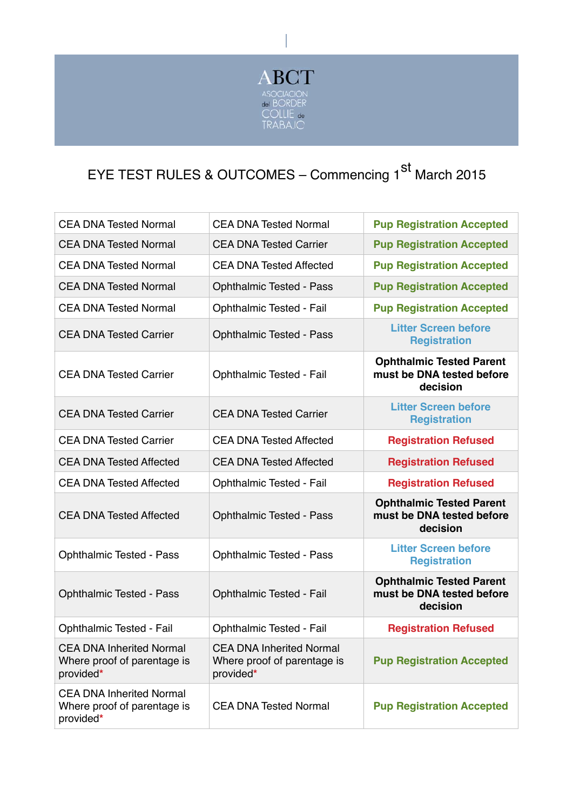

## EYE TEST RULES & OUTCOMES - Commencing 1<sup>st</sup> March 2015

| <b>CEA DNA Tested Normal</b>                                                | <b>CEA DNA Tested Normal</b>                                                | <b>Pup Registration Accepted</b>                                         |
|-----------------------------------------------------------------------------|-----------------------------------------------------------------------------|--------------------------------------------------------------------------|
| <b>CEA DNA Tested Normal</b>                                                | <b>CEA DNA Tested Carrier</b>                                               | <b>Pup Registration Accepted</b>                                         |
| <b>CEA DNA Tested Normal</b>                                                | <b>CEA DNA Tested Affected</b>                                              | <b>Pup Registration Accepted</b>                                         |
| <b>CEA DNA Tested Normal</b>                                                | <b>Ophthalmic Tested - Pass</b>                                             | <b>Pup Registration Accepted</b>                                         |
| <b>CEA DNA Tested Normal</b>                                                | Ophthalmic Tested - Fail                                                    | <b>Pup Registration Accepted</b>                                         |
| <b>CEA DNA Tested Carrier</b>                                               | <b>Ophthalmic Tested - Pass</b>                                             | <b>Litter Screen before</b><br><b>Registration</b>                       |
| <b>CEA DNA Tested Carrier</b>                                               | Ophthalmic Tested - Fail                                                    | <b>Ophthalmic Tested Parent</b><br>must be DNA tested before<br>decision |
| <b>CEA DNA Tested Carrier</b>                                               | <b>CEA DNA Tested Carrier</b>                                               | <b>Litter Screen before</b><br><b>Registration</b>                       |
| <b>CEA DNA Tested Carrier</b>                                               | <b>CEA DNA Tested Affected</b>                                              | <b>Registration Refused</b>                                              |
| <b>CEA DNA Tested Affected</b>                                              | <b>CEA DNA Tested Affected</b>                                              | <b>Registration Refused</b>                                              |
| <b>CEA DNA Tested Affected</b>                                              | Ophthalmic Tested - Fail                                                    | <b>Registration Refused</b>                                              |
| <b>CEA DNA Tested Affected</b>                                              | <b>Ophthalmic Tested - Pass</b>                                             | <b>Ophthalmic Tested Parent</b><br>must be DNA tested before<br>decision |
| <b>Ophthalmic Tested - Pass</b>                                             | <b>Ophthalmic Tested - Pass</b>                                             | <b>Litter Screen before</b><br><b>Registration</b>                       |
| <b>Ophthalmic Tested - Pass</b>                                             | Ophthalmic Tested - Fail                                                    | <b>Ophthalmic Tested Parent</b><br>must be DNA tested before<br>decision |
| Ophthalmic Tested - Fail                                                    | Ophthalmic Tested - Fail                                                    | <b>Registration Refused</b>                                              |
| <b>CEA DNA Inherited Normal</b><br>Where proof of parentage is<br>provided* | <b>CEA DNA Inherited Normal</b><br>Where proof of parentage is<br>provided* | <b>Pup Registration Accepted</b>                                         |
| <b>CEA DNA Inherited Normal</b><br>Where proof of parentage is<br>provided* | <b>CEA DNA Tested Normal</b>                                                | <b>Pup Registration Accepted</b>                                         |